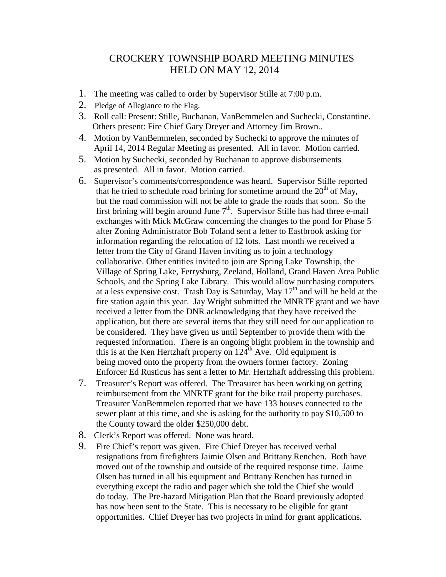## CROCKERY TOWNSHIP BOARD MEETING MINUTES HELD ON MAY 12, 2014

- 1. The meeting was called to order by Supervisor Stille at 7:00 p.m.
- 2. Pledge of Allegiance to the Flag.
- 3. Roll call: Present: Stille, Buchanan, VanBemmelen and Suchecki, Constantine. Others present: Fire Chief Gary Dreyer and Attorney Jim Brown..
- 4. Motion by VanBemmelen, seconded by Suchecki to approve the minutes of April 14, 2014 Regular Meeting as presented. All in favor. Motion carried.
- 5. Motion by Suchecki, seconded by Buchanan to approve disbursements as presented. All in favor. Motion carried.
- 6. Supervisor's comments/correspondence was heard. Supervisor Stille reported that he tried to schedule road brining for sometime around the  $20<sup>th</sup>$  of May, but the road commission will not be able to grade the roads that soon. So the first brining will begin around June  $7<sup>th</sup>$ . Supervisor Stille has had three e-mail exchanges with Mick McGraw concerning the changes to the pond for Phase 5 after Zoning Administrator Bob Toland sent a letter to Eastbrook asking for information regarding the relocation of 12 lots. Last month we received a letter from the City of Grand Haven inviting us to join a technology collaborative. Other entities invited to join are Spring Lake Township, the Village of Spring Lake, Ferrysburg, Zeeland, Holland, Grand Haven Area Public Schools, and the Spring Lake Library. This would allow purchasing computers at a less expensive cost. Trash Day is Saturday, May  $17<sup>th</sup>$  and will be held at the fire station again this year. Jay Wright submitted the MNRTF grant and we have received a letter from the DNR acknowledging that they have received the application, but there are several items that they still need for our application to be considered. They have given us until September to provide them with the requested information. There is an ongoing blight problem in the township and this is at the Ken Hertzhaft property on  $124<sup>th</sup>$  Ave. Old equipment is being moved onto the property from the owners former factory. Zoning Enforcer Ed Rusticus has sent a letter to Mr. Hertzhaft addressing this problem.
- 7. Treasurer's Report was offered. The Treasurer has been working on getting reimbursement from the MNRTF grant for the bike trail property purchases. Treasurer VanBemmelen reported that we have 133 houses connected to the sewer plant at this time, and she is asking for the authority to pay \$10,500 to the County toward the older \$250,000 debt.
- 8. Clerk's Report was offered. None was heard.
- 9. Fire Chief's report was given. Fire Chief Dreyer has received verbal resignations from firefighters Jaimie Olsen and Brittany Renchen. Both have moved out of the township and outside of the required response time. Jaime Olsen has turned in all his equipment and Brittany Renchen has turned in everything except the radio and pager which she told the Chief she would do today. The Pre-hazard Mitigation Plan that the Board previously adopted has now been sent to the State. This is necessary to be eligible for grant opportunities. Chief Dreyer has two projects in mind for grant applications.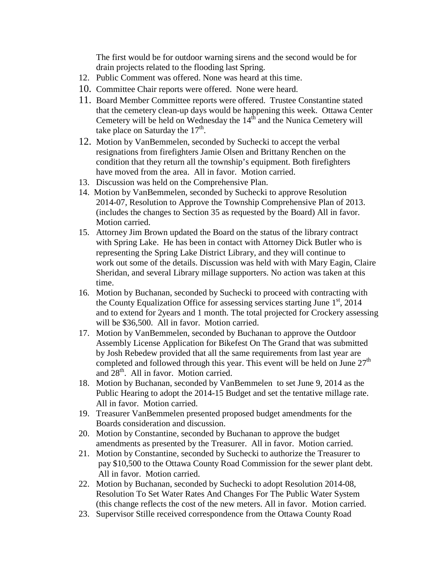The first would be for outdoor warning sirens and the second would be for drain projects related to the flooding last Spring.

- 12. Public Comment was offered. None was heard at this time.
- 10. Committee Chair reports were offered. None were heard.
- 11. Board Member Committee reports were offered. Trustee Constantine stated that the cemetery clean-up days would be happening this week. Ottawa Center Cemetery will be held on Wednesday the  $14<sup>th</sup>$  and the Nunica Cemetery will take place on Saturday the  $17<sup>th</sup>$ .
- 12. Motion by VanBemmelen, seconded by Suchecki to accept the verbal resignations from firefighters Jamie Olsen and Brittany Renchen on the condition that they return all the township's equipment. Both firefighters have moved from the area. All in favor. Motion carried.
- 13. Discussion was held on the Comprehensive Plan.
- 14. Motion by VanBemmelen, seconded by Suchecki to approve Resolution 2014-07, Resolution to Approve the Township Comprehensive Plan of 2013. (includes the changes to Section 35 as requested by the Board) All in favor. Motion carried.
- 15. Attorney Jim Brown updated the Board on the status of the library contract with Spring Lake. He has been in contact with Attorney Dick Butler who is representing the Spring Lake District Library, and they will continue to work out some of the details. Discussion was held with with Mary Eagin, Claire Sheridan, and several Library millage supporters. No action was taken at this time.
- 16. Motion by Buchanan, seconded by Suchecki to proceed with contracting with the County Equalization Office for assessing services starting June  $1<sup>st</sup>$ , 2014 and to extend for 2years and 1 month. The total projected for Crockery assessing will be \$36,500. All in favor. Motion carried.
- 17. Motion by VanBemmelen, seconded by Buchanan to approve the Outdoor Assembly License Application for Bikefest On The Grand that was submitted by Josh Rebedew provided that all the same requirements from last year are completed and followed through this year. This event will be held on June  $27<sup>th</sup>$ and  $28<sup>th</sup>$ . All in favor. Motion carried.
- 18. Motion by Buchanan, seconded by VanBemmelen to set June 9, 2014 as the Public Hearing to adopt the 2014-15 Budget and set the tentative millage rate. All in favor. Motion carried.
- 19. Treasurer VanBemmelen presented proposed budget amendments for the Boards consideration and discussion.
- 20. Motion by Constantine, seconded by Buchanan to approve the budget amendments as presented by the Treasurer. All in favor. Motion carried.
- 21. Motion by Constantine, seconded by Suchecki to authorize the Treasurer to pay \$10,500 to the Ottawa County Road Commission for the sewer plant debt. All in favor. Motion carried.
- 22. Motion by Buchanan, seconded by Suchecki to adopt Resolution 2014-08, Resolution To Set Water Rates And Changes For The Public Water System (this change reflects the cost of the new meters. All in favor. Motion carried.
- 23. Supervisor Stille received correspondence from the Ottawa County Road